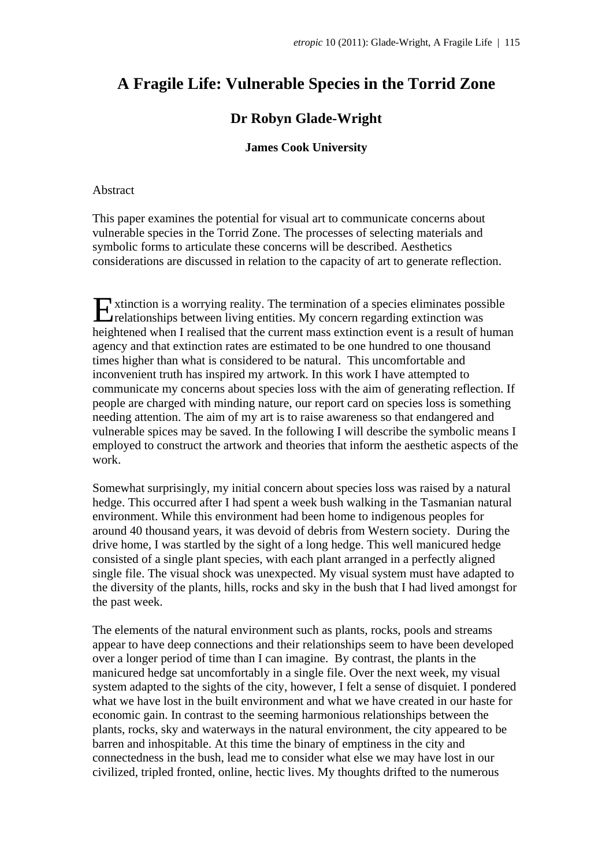# **A Fragile Life: Vulnerable Species in the Torrid Zone**

# **Dr Robyn Glade-Wright**

## **James Cook University**

### Abstract

This paper examines the potential for visual art to communicate concerns about vulnerable species in the Torrid Zone. The processes of selecting materials and symbolic forms to articulate these concerns will be described. Aesthetics considerations are discussed in relation to the capacity of art to generate reflection.

xtinction is a worrying reality. The termination of a species eliminates possible Extinction is a worrying reality. The termination of a species eliminates poss<br>relationships between living entities. My concern regarding extinction was heightened when I realised that the current mass extinction event is a result of human agency and that extinction rates are estimated to be one hundred to one thousand times higher than what is considered to be natural. This uncomfortable and inconvenient truth has inspired my artwork. In this work I have attempted to communicate my concerns about species loss with the aim of generating reflection. If people are charged with minding nature, our report card on species loss is something needing attention. The aim of my art is to raise awareness so that endangered and vulnerable spices may be saved. In the following I will describe the symbolic means I employed to construct the artwork and theories that inform the aesthetic aspects of the work.

Somewhat surprisingly, my initial concern about species loss was raised by a natural hedge. This occurred after I had spent a week bush walking in the Tasmanian natural environment. While this environment had been home to indigenous peoples for around 40 thousand years, it was devoid of debris from Western society. During the drive home, I was startled by the sight of a long hedge. This well manicured hedge consisted of a single plant species, with each plant arranged in a perfectly aligned single file. The visual shock was unexpected. My visual system must have adapted to the diversity of the plants, hills, rocks and sky in the bush that I had lived amongst for the past week.

The elements of the natural environment such as plants, rocks, pools and streams appear to have deep connections and their relationships seem to have been developed over a longer period of time than I can imagine. By contrast, the plants in the manicured hedge sat uncomfortably in a single file. Over the next week, my visual system adapted to the sights of the city, however, I felt a sense of disquiet. I pondered what we have lost in the built environment and what we have created in our haste for economic gain. In contrast to the seeming harmonious relationships between the plants, rocks, sky and waterways in the natural environment, the city appeared to be barren and inhospitable. At this time the binary of emptiness in the city and connectedness in the bush, lead me to consider what else we may have lost in our civilized, tripled fronted, online, hectic lives. My thoughts drifted to the numerous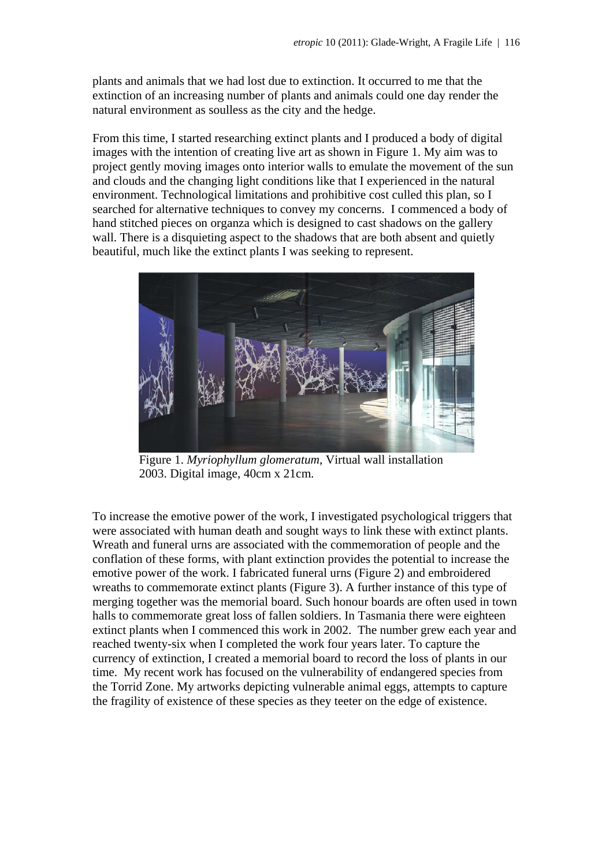plants and animals that we had lost due to extinction. It occurred to me that the extinction of an increasing number of plants and animals could one day render the natural environment as soulless as the city and the hedge.

From this time, I started researching extinct plants and I produced a body of digital images with the intention of creating live art as shown in Figure 1. My aim was to project gently moving images onto interior walls to emulate the movement of the sun and clouds and the changing light conditions like that I experienced in the natural environment. Technological limitations and prohibitive cost culled this plan, so I searched for alternative techniques to convey my concerns. I commenced a body of hand stitched pieces on organza which is designed to cast shadows on the gallery wall. There is a disquieting aspect to the shadows that are both absent and quietly beautiful, much like the extinct plants I was seeking to represent.



Figure 1. *Myriophyllum glomeratum*, Virtual wall installation 2003. Digital image, 40cm x 21cm.

To increase the emotive power of the work, I investigated psychological triggers that were associated with human death and sought ways to link these with extinct plants. Wreath and funeral urns are associated with the commemoration of people and the conflation of these forms, with plant extinction provides the potential to increase the emotive power of the work. I fabricated funeral urns (Figure 2) and embroidered wreaths to commemorate extinct plants (Figure 3). A further instance of this type of merging together was the memorial board. Such honour boards are often used in town halls to commemorate great loss of fallen soldiers. In Tasmania there were eighteen extinct plants when I commenced this work in 2002. The number grew each year and reached twenty-six when I completed the work four years later. To capture the currency of extinction, I created a memorial board to record the loss of plants in our time. My recent work has focused on the vulnerability of endangered species from the Torrid Zone. My artworks depicting vulnerable animal eggs, attempts to capture the fragility of existence of these species as they teeter on the edge of existence.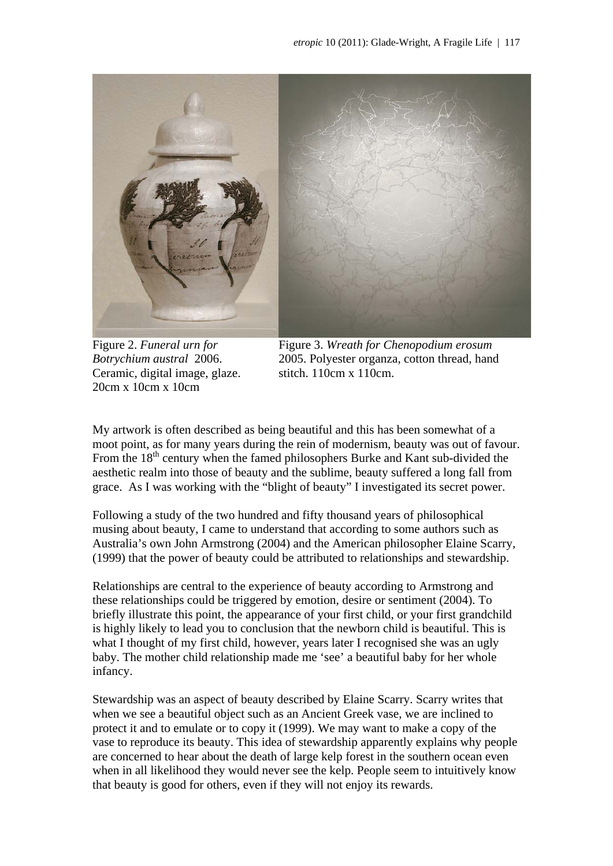

Figure 2. *Funeral urn for Botrychium austral* 2006. Ceramic, digital image, glaze. 20cm x 10cm x 10cm

Figure 3. *Wreath for Chenopodium erosum*  2005. Polyester organza, cotton thread, hand stitch. 110cm x 110cm.

My artwork is often described as being beautiful and this has been somewhat of a moot point, as for many years during the rein of modernism, beauty was out of favour. From the  $18<sup>th</sup>$  century when the famed philosophers Burke and Kant sub-divided the aesthetic realm into those of beauty and the sublime, beauty suffered a long fall from grace. As I was working with the "blight of beauty" I investigated its secret power.

Following a study of the two hundred and fifty thousand years of philosophical musing about beauty, I came to understand that according to some authors such as Australia's own John Armstrong (2004) and the American philosopher Elaine Scarry, (1999) that the power of beauty could be attributed to relationships and stewardship.

Relationships are central to the experience of beauty according to Armstrong and these relationships could be triggered by emotion, desire or sentiment (2004). To briefly illustrate this point, the appearance of your first child, or your first grandchild is highly likely to lead you to conclusion that the newborn child is beautiful. This is what I thought of my first child, however, years later I recognised she was an ugly baby. The mother child relationship made me 'see' a beautiful baby for her whole infancy.

Stewardship was an aspect of beauty described by Elaine Scarry. Scarry writes that when we see a beautiful object such as an Ancient Greek vase, we are inclined to protect it and to emulate or to copy it (1999). We may want to make a copy of the vase to reproduce its beauty. This idea of stewardship apparently explains why people are concerned to hear about the death of large kelp forest in the southern ocean even when in all likelihood they would never see the kelp. People seem to intuitively know that beauty is good for others, even if they will not enjoy its rewards.